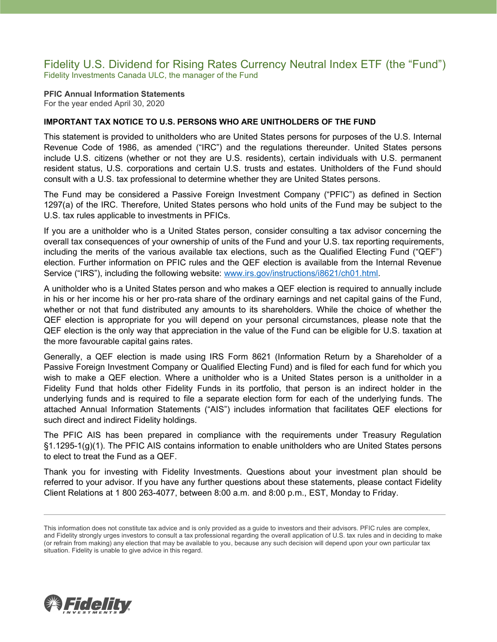### Fidelity U.S. Dividend for Rising Rates Currency Neutral Index ETF (the "Fund") Fidelity Investments Canada ULC, the manager of the Fund

**PFIC Annual Information Statements** For the year ended April 30, 2020

### **IMPORTANT TAX NOTICE TO U.S. PERSONS WHO ARE UNITHOLDERS OF THE FUND**

This statement is provided to unitholders who are United States persons for purposes of the U.S. Internal Revenue Code of 1986, as amended ("IRC") and the regulations thereunder. United States persons include U.S. citizens (whether or not they are U.S. residents), certain individuals with U.S. permanent resident status, U.S. corporations and certain U.S. trusts and estates. Unitholders of the Fund should consult with a U.S. tax professional to determine whether they are United States persons.

The Fund may be considered a Passive Foreign Investment Company ("PFIC") as defined in Section 1297(a) of the IRC. Therefore, United States persons who hold units of the Fund may be subject to the U.S. tax rules applicable to investments in PFICs.

If you are a unitholder who is a United States person, consider consulting a tax advisor concerning the overall tax consequences of your ownership of units of the Fund and your U.S. tax reporting requirements, including the merits of the various available tax elections, such as the Qualified Electing Fund ("QEF") election. Further information on PFIC rules and the QEF election is available from the Internal Revenue Service ("IRS"), including the following website: [www.irs.gov/instructions/i8621/ch01.html.](http://www.irs.gov/instructions/i8621/ch01.html)

A unitholder who is a United States person and who makes a QEF election is required to annually include in his or her income his or her pro-rata share of the ordinary earnings and net capital gains of the Fund, whether or not that fund distributed any amounts to its shareholders. While the choice of whether the QEF election is appropriate for you will depend on your personal circumstances, please note that the QEF election is the only way that appreciation in the value of the Fund can be eligible for U.S. taxation at the more favourable capital gains rates.

Generally, a QEF election is made using IRS Form 8621 (Information Return by a Shareholder of a Passive Foreign Investment Company or Qualified Electing Fund) and is filed for each fund for which you wish to make a QEF election. Where a unitholder who is a United States person is a unitholder in a Fidelity Fund that holds other Fidelity Funds in its portfolio, that person is an indirect holder in the underlying funds and is required to file a separate election form for each of the underlying funds. The attached Annual Information Statements ("AIS") includes information that facilitates QEF elections for such direct and indirect Fidelity holdings.

The PFIC AIS has been prepared in compliance with the requirements under Treasury Regulation §1.1295-1(g)(1). The PFIC AIS contains information to enable unitholders who are United States persons to elect to treat the Fund as a QEF.

Thank you for investing with Fidelity Investments. Questions about your investment plan should be referred to your advisor. If you have any further questions about these statements, please contact Fidelity Client Relations at 1 800 263-4077, between 8:00 a.m. and 8:00 p.m., EST, Monday to Friday.



This information does not constitute tax advice and is only provided as a guide to investors and their advisors. PFIC rules are complex, and Fidelity strongly urges investors to consult a tax professional regarding the overall application of U.S. tax rules and in deciding to make (or refrain from making) any election that may be available to you, because any such decision will depend upon your own particular tax situation. Fidelity is unable to give advice in this regard.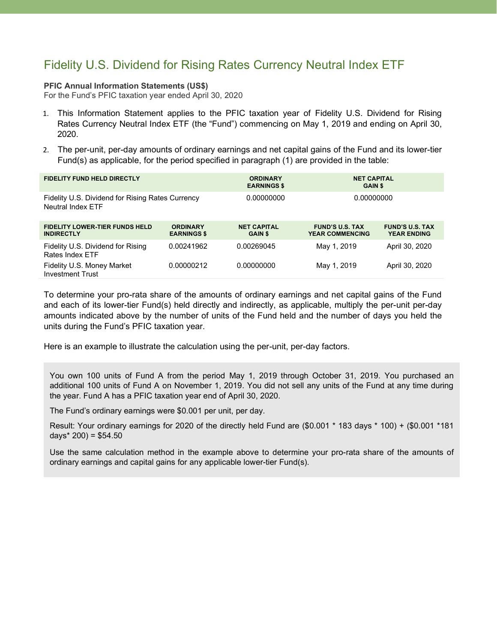## Fidelity U.S. Dividend for Rising Rates Currency Neutral Index ETF

#### **PFIC Annual Information Statements (US\$)**

For the Fund's PFIC taxation year ended April 30, 2020

- 1. This Information Statement applies to the PFIC taxation year of Fidelity U.S. Dividend for Rising Rates Currency Neutral Index ETF (the "Fund") commencing on May 1, 2019 and ending on April 30, 2020.
- 2. The per-unit, per-day amounts of ordinary earnings and net capital gains of the Fund and its lower-tier Fund(s) as applicable, for the period specified in paragraph (1) are provided in the table:

| <b>FIDELITY FUND HELD DIRECTLY</b>                                    |                                       | <b>ORDINARY</b><br><b>EARNINGS \$</b> | <b>NET CAPITAL</b><br><b>GAIN \$</b>             |                                              |
|-----------------------------------------------------------------------|---------------------------------------|---------------------------------------|--------------------------------------------------|----------------------------------------------|
| Fidelity U.S. Dividend for Rising Rates Currency<br>Neutral Index ETF |                                       | 0.00000000                            | 0.00000000                                       |                                              |
| <b>FIDELITY LOWER-TIER FUNDS HELD</b><br><b>INDIRECTLY</b>            | <b>ORDINARY</b><br><b>EARNINGS \$</b> | <b>NET CAPITAL</b><br><b>GAIN \$</b>  | <b>FUND'S U.S. TAX</b><br><b>YEAR COMMENCING</b> | <b>FUND'S U.S. TAX</b><br><b>YEAR ENDING</b> |
| Fidelity U.S. Dividend for Rising<br>Rates Index ETF                  | 0.00241962                            | 0.00269045                            | May 1, 2019                                      | April 30, 2020                               |
| Fidelity U.S. Money Market<br><b>Investment Trust</b>                 | 0.00000212                            | 0.00000000                            | May 1, 2019                                      | April 30, 2020                               |

To determine your pro-rata share of the amounts of ordinary earnings and net capital gains of the Fund and each of its lower-tier Fund(s) held directly and indirectly, as applicable, multiply the per-unit per-day amounts indicated above by the number of units of the Fund held and the number of days you held the units during the Fund's PFIC taxation year.

Here is an example to illustrate the calculation using the per-unit, per-day factors.

You own 100 units of Fund A from the period May 1, 2019 through October 31, 2019. You purchased an additional 100 units of Fund A on November 1, 2019. You did not sell any units of the Fund at any time during the year. Fund A has a PFIC taxation year end of April 30, 2020.

The Fund's ordinary earnings were \$0.001 per unit, per day.

Result: Your ordinary earnings for 2020 of the directly held Fund are (\$0.001 \* 183 days \* 100) + (\$0.001 \*181 days\*  $200$ ) = \$54.50

Use the same calculation method in the example above to determine your pro-rata share of the amounts of ordinary earnings and capital gains for any applicable lower-tier Fund(s).